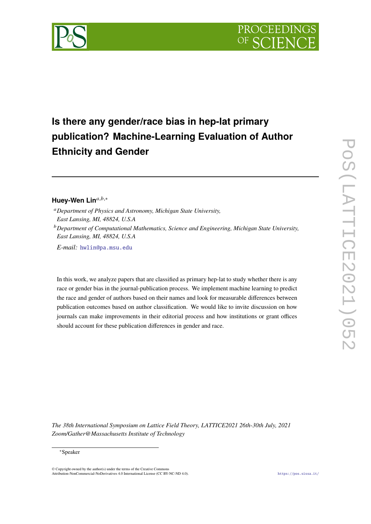



## **Is there any gender/race bias in hep-lat primary publication? Machine-Learning Evaluation of Author Ethnicity and Gender**

## Huey-Wen Lin<sup>a,b,∗</sup>

- <sup>𝑎</sup>*Department of Physics and Astronomy, Michigan State University, East Lansing, MI, 48824, U.S.A*
- <sup>*b*</sup> Department of Computational Mathematics, Science and Engineering, Michigan State University, *East Lansing, MI, 48824, U.S.A*

*E-mail:* [hwlin@pa.msu.edu](mailto:hwlin@pa.msu.edu)

In this work, we analyze papers that are classified as primary hep-lat to study whether there is any race or gender bias in the journal-publication process. We implement machine learning to predict the race and gender of authors based on their names and look for measurable differences between publication outcomes based on author classification. We would like to invite discussion on how journals can make improvements in their editorial process and how institutions or grant offices should account for these publication differences in gender and race.

*The 38th International Symposium on Lattice Field Theory, LATTICE2021 26th-30th July, 2021 Zoom/Gather@Massachusetts Institute of Technology*

## <sup>∗</sup>Speaker

 $\odot$  Copyright owned by the author(s) under the terms of the Creative Common Attribution-NonCommercial-NoDerivatives 4.0 International License (CC BY-NC-ND 4.0). <https://pos.sissa.it/>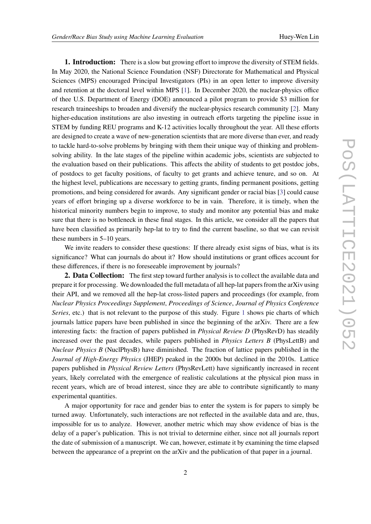**1. Introduction:** There is a slow but growing effort to improve the diversity of STEM fields. In May 2020, the National Science Foundation (NSF) Directorate for Mathematical and Physical Sciences (MPS) encouraged Principal Investigators (PIs) in an open letter to improve diversity and retention at the doctoral level within MPS [\[1\]](#page-8-0). In December 2020, the nuclear-physics office of thee U.S. Department of Energy (DOE) announced a pilot program to provide \$3 million for research traineeships to broaden and diversify the nuclear-physics research community [\[2\]](#page-8-1). Many higher-education institutions are also investing in outreach efforts targeting the pipeline issue in STEM by funding REU programs and K-12 activities locally throughout the year. All these efforts are designed to create a wave of new-generation scientists that are more diverse than ever, and ready to tackle hard-to-solve problems by bringing with them their unique way of thinking and problemsolving ability. In the late stages of the pipeline within academic jobs, scientists are subjected to the evaluation based on their publications. This affects the ability of students to get postdoc jobs, of postdocs to get faculty positions, of faculty to get grants and achieve tenure, and so on. At the highest level, publications are necessary to getting grants, finding permanent positions, getting promotions, and being considered for awards. Any significant gender or racial bias [\[3\]](#page-8-2) could cause years of effort bringing up a diverse workforce to be in vain. Therefore, it is timely, when the historical minority numbers begin to improve, to study and monitor any potential bias and make sure that there is no bottleneck in these final stages. In this article, we consider all the papers that have been classified as primarily hep-lat to try to find the current baseline, so that we can revisit these numbers in 5–10 years.

We invite readers to consider these questions: If there already exist signs of bias, what is its significance? What can journals do about it? How should institutions or grant offices account for these differences, if there is no foreseeable improvement by journals?

**2. Data Collection:** The first step toward further analysis is to collect the available data and prepare it for processing. We downloaded the full metadata of all hep-lat papers from the arXiv using their API, and we removed all the hep-lat cross-listed papers and proceedings (for example, from *Nuclear Physics Proceedings Supplement*, *Proceedings of Science*, *Journal of Physics Conference Series*, etc.) that is not relevant to the purpose of this study. Figure [1](#page-2-0) shows pie charts of which journals lattice papers have been published in since the beginning of the arXiv. There are a few interesting facts: the fraction of papers published in *Physical Review D* (PhysRevD) has steadily increased over the past decades, while papers published in *Physics Letters B* (PhysLettB) and *Nuclear Physics B* (NuclPhysB) have diminished. The fraction of lattice papers published in the *Journal of High-Energy Physics* (JHEP) peaked in the 2000s but declined in the 2010s. Lattice papers published in *Physical Review Letters* (PhysRevLett) have significantly increased in recent years, likely correlated with the emergence of realistic calculations at the physical pion mass in recent years, which are of broad interest, since they are able to contribute significantly to many experimental quantities.

A major opportunity for race and gender bias to enter the system is for papers to simply be turned away. Unfortunately, such interactions are not reflected in the available data and are, thus, impossible for us to analyze. However, another metric which may show evidence of bias is the delay of a paper's publication. This is not trivial to determine either, since not all journals report the date of submission of a manuscript. We can, however, estimate it by examining the time elapsed between the appearance of a preprint on the arXiv and the publication of that paper in a journal.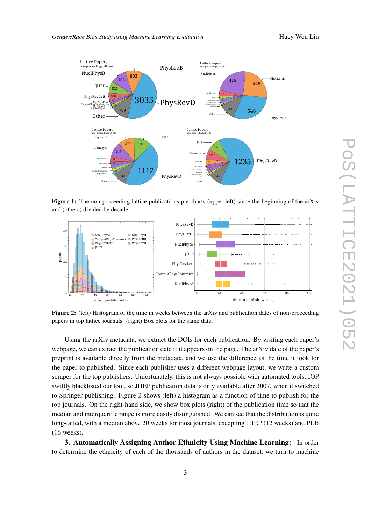<span id="page-2-0"></span>

Figure 1: The non-proceeding lattice publications pie charts (upper-left) since the beginning of the arXiv and (others) divided by decade.

<span id="page-2-1"></span>

**Figure 2:** (left) Histogram of the time in weeks between the arXiv and publication dates of non-proceeding papers in top lattice journals. (right) Box plots for the same data.

Using the arXiv metadata, we extract the DOIs for each publication. By visiting each paper's webpage, we can extract the publication date if it appears on the page. The arXiv date of the paper's preprint is available directly from the metadata, and we use the difference as the time it took for the paper to published. Since each publisher uses a different webpage layout, we write a custom scraper for the top publishers. Unfortunately, this is not always possible with automated tools; IOP swiftly blacklisted our tool, so JHEP publication data is only available after 2007, when it switched to Springer publishing. Figure [2](#page-2-1) shows (left) a histogram as a function of time to publish for the top journals. On the right-hand side, we show box plots (right) of the publication time so that the median and interquartile range is more easily distinguished. We can see that the distribution is quite long-tailed, with a median above 20 weeks for most journals, excepting JHEP (12 weeks) and PLB (16 weeks).

**3. Automatically Assigning Author Ethnicity Using Machine Learning:** In order to determine the ethnicity of each of the thousands of authors in the dataset, we turn to machine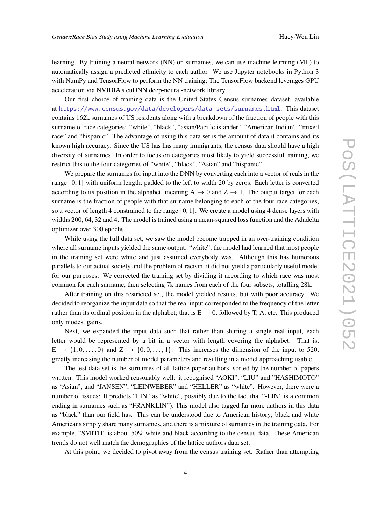learning. By training a neural network (NN) on surnames, we can use machine learning (ML) to automatically assign a predicted ethnicity to each author. We use Jupyter notebooks in Python 3 with NumPy and TensorFlow to perform the NN training; The TensorFlow backend leverages GPU acceleration via NVIDIA's cuDNN deep-neural-network library.

Our first choice of training data is the United States Census surnames dataset, available at <https://www.census.gov/data/developers/data-sets/surnames.html>. This dataset contains 162k surnames of US residents along with a breakdown of the fraction of people with this surname of race categories: "white", "black", "asian/Pacific islander", "American Indian", "mixed race" and "hispanic". The advantage of using this data set is the amount of data it contains and its known high accuracy. Since the US has has many immigrants, the census data should have a high diversity of surnames. In order to focus on categories most likely to yield successful training, we restrict this to the four categories of "white", "black", "Asian" and "hispanic".

We prepare the surnames for input into the DNN by converting each into a vector of reals in the range [0, 1] with uniform length, padded to the left to width 20 by zeros. Each letter is converted according to its position in the alphabet, meaning A  $\rightarrow$  0 and Z  $\rightarrow$  1. The output target for each surname is the fraction of people with that surname belonging to each of the four race categories, so a vector of length 4 constrained to the range  $[0, 1]$ . We create a model using 4 dense layers with widths 200, 64, 32 and 4. The model is trained using a mean-squared loss function and the Adadelta optimizer over 300 epochs.

While using the full data set, we saw the model become trapped in an over-training condition where all surname inputs yielded the same output: "white"; the model had learned that most people in the training set were white and just assumed everybody was. Although this has humorous parallels to our actual society and the problem of racism, it did not yield a particularly useful model for our purposes. We corrected the training set by dividing it according to which race was most common for each surname, then selecting 7k names from each of the four subsets, totalling 28k.

After training on this restricted set, the model yielded results, but with poor accuracy. We decided to reorganize the input data so that the real input corresponded to the frequency of the letter rather than its ordinal position in the alphabet; that is  $E \rightarrow 0$ , followed by T, A, etc. This produced only modest gains.

Next, we expanded the input data such that rather than sharing a single real input, each letter would be represented by a bit in a vector with length covering the alphabet. That is,  $E \rightarrow \{1, 0, \ldots, 0\}$  and  $Z \rightarrow \{0, 0, \ldots, 1\}$ . This increases the dimension of the input to 520, greatly increasing the number of model parameters and resulting in a model approaching usable.

The test data set is the surnames of all lattice-paper authors, sorted by the number of papers written. This model worked reasonably well: it recognised "AOKI", "LIU" and "HASHIMOTO" as "Asian", and "JANSEN", "LEINWEBER" and "HELLER" as "white". However, there were a number of issues: It predicts "LIN" as "white", possibly due to the fact that "-LIN" is a common ending in surnames such as "FRANKLIN"). This model also tagged far more authors in this data as "black" than our field has. This can be understood due to American history; black and white Americans simply share many surnames, and there is a mixture of surnames in the training data. For example, "SMITH" is about 50% white and black according to the census data. These American trends do not well match the demographics of the lattice authors data set.

At this point, we decided to pivot away from the census training set. Rather than attempting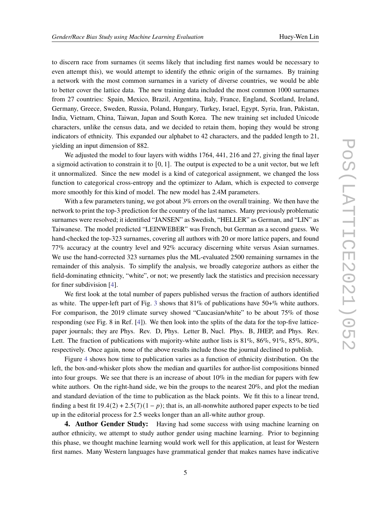to discern race from surnames (it seems likely that including first names would be necessary to even attempt this), we would attempt to identify the ethnic origin of the surnames. By training a network with the most common surnames in a variety of diverse countries, we would be able to better cover the lattice data. The new training data included the most common 1000 surnames from 27 countries: Spain, Mexico, Brazil, Argentina, Italy, France, England, Scotland, Ireland, Germany, Greece, Sweden, Russia, Poland, Hungary, Turkey, Israel, Egypt, Syria, Iran, Pakistan, India, Vietnam, China, Taiwan, Japan and South Korea. The new training set included Unicode characters, unlike the census data, and we decided to retain them, hoping they would be strong indicators of ethnicity. This expanded our alphabet to 42 characters, and the padded length to 21, yielding an input dimension of 882.

We adjusted the model to four layers with widths 1764, 441, 216 and 27, giving the final layer a sigmoid activation to constrain it to  $[0, 1]$ . The output is expected to be a unit vector, but we left it unnormalized. Since the new model is a kind of categorical assignment, we changed the loss function to categorical cross-entropy and the optimizer to Adam, which is expected to converge more smoothly for this kind of model. The new model has 2.4M parameters.

With a few parameters tuning, we got about 3% errors on the overall training. We then have the network to print the top-3 prediction for the country of the last names. Many previously problematic surnames were resolved; it identified "JANSEN" as Swedish, "HELLER" as German, and "LIN" as Taiwanese. The model predicted "LEINWEBER" was French, but German as a second guess. We hand-checked the top-323 surnames, covering all authors with 20 or more lattice papers, and found 77% accuracy at the country level and 92% accuracy discerning white versus Asian surnames. We use the hand-corrected 323 surnames plus the ML-evaluated 2500 remaining surnames in the remainder of this analysis. To simplify the analysis, we broadly categorize authors as either the field-dominating ethnicity, "white", or not; we presently lack the statistics and precision necessary for finer subdivision [\[4\]](#page-8-3).

We first look at the total number of papers published versus the fraction of authors identified as white. The upper-left part of Fig. [3](#page-5-0) shows that  $81\%$  of publications have  $50+\%$  white authors. For comparison, the 2019 climate survey showed "Caucasian/white" to be about 75% of those responding (see Fig. 8 in Ref. [\[4\]](#page-8-3)). We then look into the splits of the data for the top-five latticepaper journals; they are Phys. Rev. D, Phys. Letter B, Nucl. Phys. B, JHEP, and Phys. Rev. Lett. The fraction of publications with majority-white author lists is  $81\%$ ,  $86\%$ ,  $91\%$ ,  $85\%$ ,  $80\%$ , respectively. Once again, none of the above results include those the journal declined to publish.

Figure [4](#page-5-1) shows how time to publication varies as a function of ethnicity distribution. On the left, the box-and-whisker plots show the median and quartiles for author-list compositions binned into four groups. We see that there is an increase of about  $10\%$  in the median for papers with few white authors. On the right-hand side, we bin the groups to the nearest 20%, and plot the median and standard deviation of the time to publication as the black points. We fit this to a linear trend, finding a best fit  $19.4(2) + 2.5(7)(1 - p)$ ; that is, an all-nonwhite authored paper expects to be tied up in the editorial process for 2.5 weeks longer than an all-white author group.

**4. Author Gender Study:** Having had some success with using machine learning on author ethnicity, we attempt to study author gender using machine learning. Prior to beginning this phase, we thought machine learning would work well for this application, at least for Western first names. Many Western languages have grammatical gender that makes names have indicative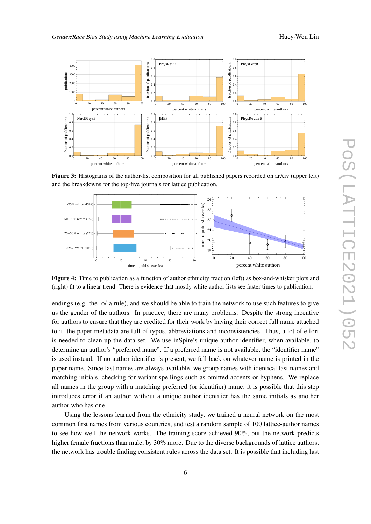<span id="page-5-0"></span>

**Figure 3:** Histograms of the author-list composition for all published papers recorded on arXiv (upper left) and the breakdowns for the top-five journals for lattice publication.

<span id="page-5-1"></span>

**Figure 4:** Time to publication as a function of author ethnicity fraction (left) as box-and-whisker plots and (right) fit to a linear trend. There is evidence that mostly white author lists see faster times to publication.

endings (e.g. the -o/-a rule), and we should be able to train the network to use such features to give us the gender of the authors. In practice, there are many problems. Despite the strong incentive for authors to ensure that they are credited for their work by having their correct full name attached to it, the paper metadata are full of typos, abbreviations and inconsistencies. Thus, a lot of effort is needed to clean up the data set. We use inSpire's unique author identifier, when available, to determine an author's "preferred name". If a preferred name is not available, the "identifier name" is used instead. If no author identifier is present, we fall back on whatever name is printed in the paper name. Since last names are always available, we group names with identical last names and matching initials, checking for variant spellings such as omitted accents or hyphens. We replace all names in the group with a matching preferred (or identifier) name; it is possible that this step introduces error if an author without a unique author identifier has the same initials as another author who has one.

Using the lessons learned from the ethnicity study, we trained a neural network on the most common first names from various countries, and test a random sample of 100 lattice-author names to see how well the network works. The training score achieved 90%, but the network predicts higher female fractions than male, by 30% more. Due to the diverse backgrounds of lattice authors, the network has trouble finding consistent rules across the data set. It is possible that including last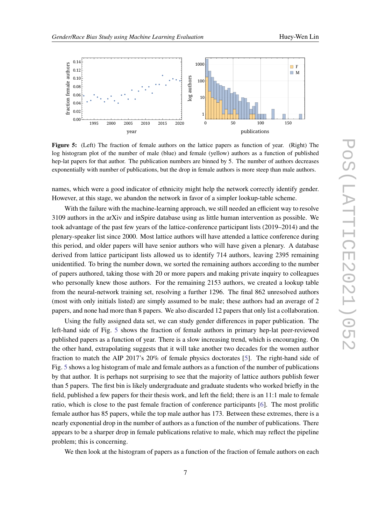<span id="page-6-0"></span>

**Figure 5:** (Left) The fraction of female authors on the lattice papers as function of year. (Right) The log histogram plot of the number of male (blue) and female (yellow) authors as a function of published hep-lat papers for that author. The publication numbers are binned by 5. The number of authors decreases exponentially with number of publications, but the drop in female authors is more steep than male authors.

names, which were a good indicator of ethnicity might help the network correctly identify gender. However, at this stage, we abandon the network in favor of a simpler lookup-table scheme.

With the failure with the machine-learning approach, we still needed an efficient way to resolve 3109 authors in the arXiv and inSpire database using as little human intervention as possible. We took advantage of the past few years of the lattice-conference participant lists (2019–2014) and the plenary-speaker list since 2000. Most lattice authors will have attended a lattice conference during this period, and older papers will have senior authors who will have given a plenary. A database derived from lattice participant lists allowed us to identify 714 authors, leaving 2395 remaining unidentified. To bring the number down, we sorted the remaining authors according to the number of papers authored, taking those with 20 or more papers and making private inquiry to colleagues who personally knew those authors. For the remaining 2153 authors, we created a lookup table from the neural-network training set, resolving a further 1296. The final 862 unresolved authors (most with only initials listed) are simply assumed to be male; these authors had an average of 2 papers, and none had more than 8 papers. We also discarded 12 papers that only list a collaboration.

Using the fully assigned data set, we can study gender differences in paper publication. The left-hand side of Fig. [5](#page-6-0) shows the fraction of female authors in primary hep-lat peer-reviewed published papers as a function of year. There is a slow increasing trend, which is encouraging. On the other hand, extrapolating suggests that it will take another two decades for the women author fraction to match the AIP 2017's 20% of female physics doctorates [\[5\]](#page-8-4). The right-hand side of Fig. [5](#page-6-0) shows a log histogram of male and female authors as a function of the number of publications by that author. It is perhaps not surprising to see that the majority of lattice authors publish fewer than 5 papers. The first bin is likely undergraduate and graduate students who worked briefly in the field, published a few papers for their thesis work, and left the field; there is an 11:1 male to female ratio, which is close to the past female fraction of conference participants [\[6\]](#page-8-5). The most prolific female author has 85 papers, while the top male author has 173. Between these extremes, there is a nearly exponential drop in the number of authors as a function of the number of publications. There appears to be a sharper drop in female publications relative to male, which may reflect the pipeline problem; this is concerning.

We then look at the histogram of papers as a function of the fraction of female authors on each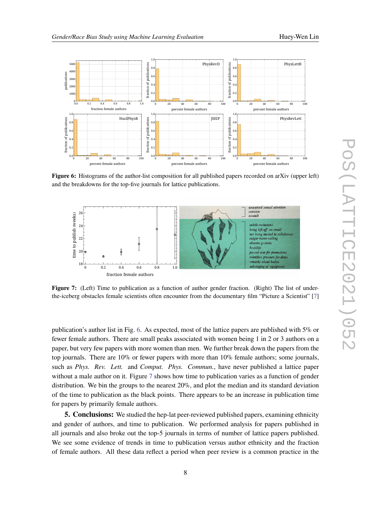<span id="page-7-0"></span>

**Figure 6:** Histograms of the author-list composition for all published papers recorded on arXiv (upper left) and the breakdowns for the top-five journals for lattice publications.

<span id="page-7-1"></span>

**Figure 7:** (Left) Time to publication as a function of author gender fraction. (Right) The list of underthe-iceberg obstacles female scientists often encounter from the documentary film "Picture a Scientist" [\[7\]](#page-8-6)

publication's author list in Fig. [6.](#page-7-0) As expected, most of the lattice papers are published with 5% or fewer female authors. There are small peaks associated with women being 1 in 2 or 3 authors on a paper, but very few papers with more women than men. We further break down the papers from the top journals. There are  $10\%$  or fewer papers with more than  $10\%$  female authors; some journals, such as *Phys. Rev. Lett.* and *Comput. Phys. Commun.*, have never published a lattice paper without a male author on it. Figure [7](#page-7-1) shows how time to publication varies as a function of gender distribution. We bin the groups to the nearest 20%, and plot the median and its standard deviation of the time to publication as the black points. There appears to be an increase in publication time for papers by primarily female authors.

**5. Conclusions:** We studied the hep-lat peer-reviewed published papers, examining ethnicity and gender of authors, and time to publication. We performed analysis for papers published in all journals and also broke out the top-5 journals in terms of number of lattice papers published. We see some evidence of trends in time to publication versus author ethnicity and the fraction of female authors. All these data reflect a period when peer review is a common practice in the